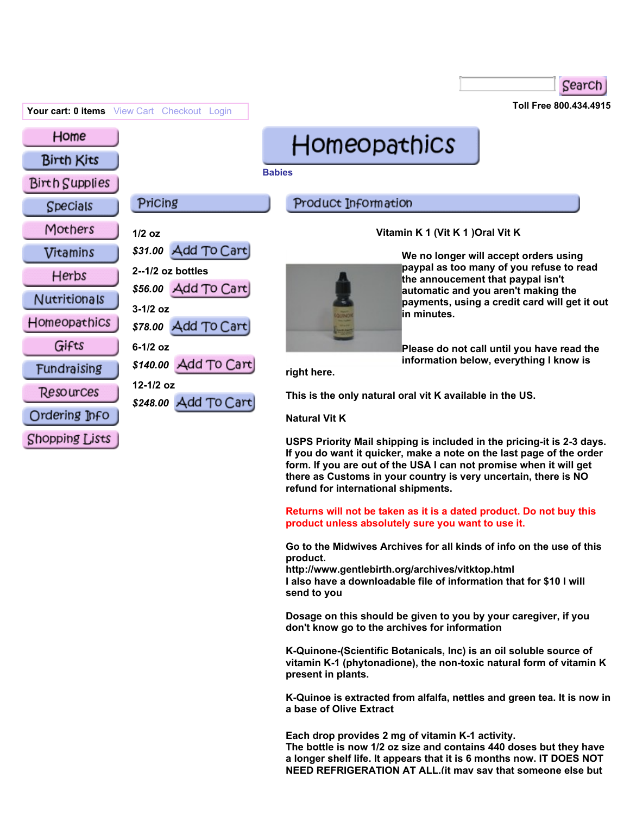| Your cart: 0 items View Cart Checkout Login                                          |                                                                                                                                                           | Toll Free 800.434.4915                                                                                                                                     |                                                                                                                                                                                                                                                                                                         |  |
|--------------------------------------------------------------------------------------|-----------------------------------------------------------------------------------------------------------------------------------------------------------|------------------------------------------------------------------------------------------------------------------------------------------------------------|---------------------------------------------------------------------------------------------------------------------------------------------------------------------------------------------------------------------------------------------------------------------------------------------------------|--|
| Home<br><b>Birth Kits</b><br><b>Birth Supplies</b>                                   |                                                                                                                                                           | <b>Homeopathics</b><br><b>Babies</b>                                                                                                                       |                                                                                                                                                                                                                                                                                                         |  |
| <b>Specials</b>                                                                      | Pricing                                                                                                                                                   | Product Information                                                                                                                                        |                                                                                                                                                                                                                                                                                                         |  |
| Mothers<br>Vitamins<br>Herbs<br>Nutritionals<br>Homeopathics<br>Gifts<br>Fundraising | $1/2$ oz<br>\$31.00 Add To Cart<br>$2 - 1/2$ oz bottles<br>\$56.00 Add To Cart<br>$3-1/2$ oz<br>\$78.00 Add To Cart<br>$6-1/2$ oz<br>\$140.00 Add To Cart | Vitamin K 1 (Vit K 1 ) Oral Vit K<br>in minutes.<br>right here.                                                                                            | We no longer will accept orders using<br>paypal as too many of you refuse to read<br>the annoucement that paypal isn't<br>automatic and you aren't making the<br>payments, using a credit card will get it out<br>Please do not call until you have read the<br>information below, everything I know is |  |
| Resources<br>Ordering Jnfo<br>Shopping Lists                                         | 12-1/2 oz<br>\$248.00 Add To Cart                                                                                                                         | This is the only natural oral vit K available in the US.<br><b>Natural Vit K</b><br>USPS Priority Mail shipping is included in the pricing-it is 2-3 days. |                                                                                                                                                                                                                                                                                                         |  |

Search

**USPS Priority Mail shipping is included in the pricing-it is 2-3 days. If you do want it quicker, make a note on the last page of the order form. If you are out of the USA I can not promise when it will get there as Customs in your country is very uncertain, there is NO refund for international shipments.** 

**Returns will not be taken as it is a dated product. Do not buy this product unless absolutely sure you want to use it.** 

**Go to the Midwives Archives for all kinds of info on the use of this product.** 

**http://www.gentlebirth.org/archives/vitktop.html I also have a downloadable file of information that for \$10 I will send to you** 

**Dosage on this should be given to you by your caregiver, if you don't know go to the archives for information** 

**K-Quinone-(Scientific Botanicals, Inc) is an oil soluble source of vitamin K-1 (phytonadione), the non-toxic natural form of vitamin K present in plants.** 

**K-Quinoe is extracted from alfalfa, nettles and green tea. It is now in a base of Olive Extract** 

**Each drop provides 2 mg of vitamin K-1 activity. The bottle is now 1/2 oz size and contains 440 doses but they have a longer shelf life. It appears that it is 6 months now. IT DOES NOT NEED REFRIGERATION AT ALL.(it may say that someone else but**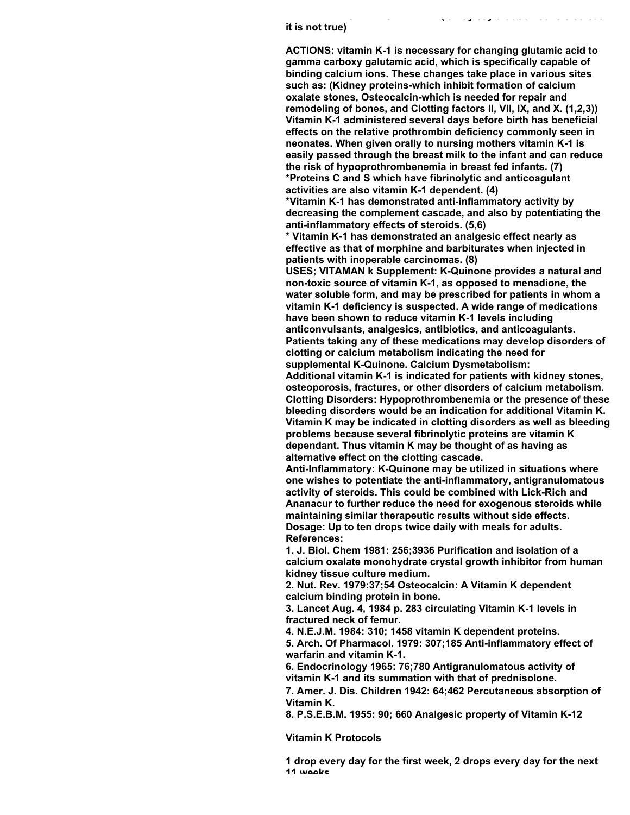## **it is not true)**

**ACTIONS: vitamin K-1 is necessary for changing glutamic acid to gamma carboxy galutamic acid, which is specifically capable of binding calcium ions. These changes take place in various sites such as: (Kidney proteins-which inhibit formation of calcium oxalate stones, Osteocalcin-which is needed for repair and remodeling of bones, and Clotting factors II, VII, IX, and X. (1,2,3)) Vitamin K-1 administered several days before birth has beneficial effects on the relative prothrombin deficiency commonly seen in neonates. When given orally to nursing mothers vitamin K-1 is easily passed through the breast milk to the infant and can reduce the risk of hypoprothrombenemia in breast fed infants. (7) \*Proteins C and S which have fibrinolytic and anticoagulant activities are also vitamin K-1 dependent. (4)** 

**NEED REFRIGERATION AT ALL.(it may say that someone else but**

**\*Vitamin K-1 has demonstrated anti-inflammatory activity by decreasing the complement cascade, and also by potentiating the anti-inflammatory effects of steroids. (5,6)** 

**\* Vitamin K-1 has demonstrated an analgesic effect nearly as effective as that of morphine and barbiturates when injected in patients with inoperable carcinomas. (8)** 

**USES; VITAMAN k Supplement: K-Quinone provides a natural and non-toxic source of vitamin K-1, as opposed to menadione, the water soluble form, and may be prescribed for patients in whom a vitamin K-1 deficiency is suspected. A wide range of medications have been shown to reduce vitamin K-1 levels including anticonvulsants, analgesics, antibiotics, and anticoagulants. Patients taking any of these medications may develop disorders of clotting or calcium metabolism indicating the need for supplemental K-Quinone. Calcium Dysmetabolism:** 

**Additional vitamin K-1 is indicated for patients with kidney stones, osteoporosis, fractures, or other disorders of calcium metabolism. Clotting Disorders: Hypoprothrombenemia or the presence of these bleeding disorders would be an indication for additional Vitamin K. Vitamin K may be indicated in clotting disorders as well as bleeding problems because several fibrinolytic proteins are vitamin K dependant. Thus vitamin K may be thought of as having as alternative effect on the clotting cascade.**

**Anti-Inflammatory: K-Quinone may be utilized in situations where one wishes to potentiate the anti-inflammatory, antigranulomatous activity of steroids. This could be combined with Lick-Rich and Ananacur to further reduce the need for exogenous steroids while maintaining similar therapeutic results without side effects. Dosage: Up to ten drops twice daily with meals for adults. References:**

**1. J. Biol. Chem 1981: 256;3936 Purification and isolation of a calcium oxalate monohydrate crystal growth inhibitor from human kidney tissue culture medium.** 

**2. Nut. Rev. 1979:37;54 Osteocalcin: A Vitamin K dependent calcium binding protein in bone.** 

**3. Lancet Aug. 4, 1984 p. 283 circulating Vitamin K-1 levels in fractured neck of femur.** 

**4. N.E.J.M. 1984: 310; 1458 vitamin K dependent proteins. 5. Arch. Of Pharmacol. 1979: 307;185 Anti-inflammatory effect of warfarin and vitamin K-1.** 

**6. Endocrinology 1965: 76;780 Antigranulomatous activity of vitamin K-1 and its summation with that of prednisolone.** 

**7. Amer. J. Dis. Children 1942: 64;462 Percutaneous absorption of Vitamin K.** 

**8. P.S.E.B.M. 1955: 90; 660 Analgesic property of Vitamin K-12** 

**Vitamin K Protocols**

**1 drop every day for the first week, 2 drops every day for the next 11 weeks.**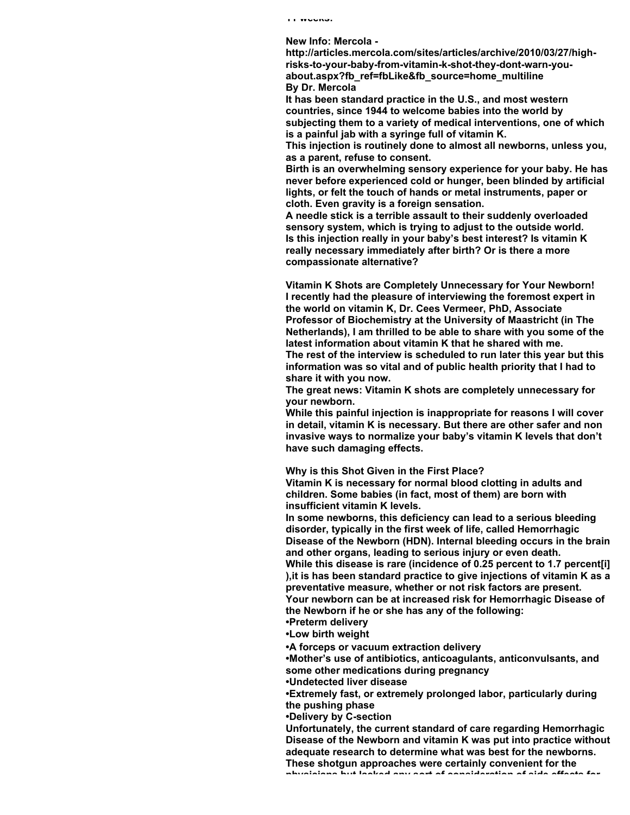**New Info: Mercola -**

**http://articles.mercola.com/sites/articles/archive/2010/03/27/highrisks-to-your-baby-from-vitamin-k-shot-they-dont-warn-youabout.aspx?fb\_ref=fbLike&fb\_source=home\_multiline By Dr. Mercola**

**It has been standard practice in the U.S., and most western countries, since 1944 to welcome babies into the world by subjecting them to a variety of medical interventions, one of which is a painful jab with a syringe full of vitamin K.** 

**This injection is routinely done to almost all newborns, unless you, as a parent, refuse to consent.** 

**Birth is an overwhelming sensory experience for your baby. He has never before experienced cold or hunger, been blinded by artificial lights, or felt the touch of hands or metal instruments, paper or cloth. Even gravity is a foreign sensation.**

**A needle stick is a terrible assault to their suddenly overloaded sensory system, which is trying to adjust to the outside world. Is this injection really in your baby's best interest? Is vitamin K really necessary immediately after birth? Or is there a more compassionate alternative?**

**Vitamin K Shots are Completely Unnecessary for Your Newborn! I recently had the pleasure of interviewing the foremost expert in the world on vitamin K, Dr. Cees Vermeer, PhD, Associate Professor of Biochemistry at the University of Maastricht (in The Netherlands), I am thrilled to be able to share with you some of the latest information about vitamin K that he shared with me.**

**The rest of the interview is scheduled to run later this year but this information was so vital and of public health priority that I had to share it with you now.**

**The great news: Vitamin K shots are completely unnecessary for your newborn.**

**While this painful injection is inappropriate for reasons I will cover in detail, vitamin K is necessary. But there are other safer and non invasive ways to normalize your baby's vitamin K levels that don't have such damaging effects.**

**Why is this Shot Given in the First Place?**

**Vitamin K is necessary for normal blood clotting in adults and children. Some babies (in fact, most of them) are born with insufficient vitamin K levels.**

**In some newborns, this deficiency can lead to a serious bleeding disorder, typically in the first week of life, called Hemorrhagic Disease of the Newborn (HDN). Internal bleeding occurs in the brain and other organs, leading to serious injury or even death.** 

**While this disease is rare (incidence of 0.25 percent to 1.7 percent[i] ),it is has been standard practice to give injections of vitamin K as a preventative measure, whether or not risk factors are present. Your newborn can be at increased risk for Hemorrhagic Disease of the Newborn if he or she has any of the following:**

**•Preterm delivery •Low birth weight** 

**•A forceps or vacuum extraction delivery** 

**•Mother's use of antibiotics, anticoagulants, anticonvulsants, and some other medications during pregnancy** 

**•Undetected liver disease** 

**•Extremely fast, or extremely prolonged labor, particularly during the pushing phase** 

**•Delivery by C-section** 

**Unfortunately, the current standard of care regarding Hemorrhagic Disease of the Newborn and vitamin K was put into practice without adequate research to determine what was best for the newborns. These shotgun approaches were certainly convenient for the**

**physicians but lacked any sort of consideration of side effects for**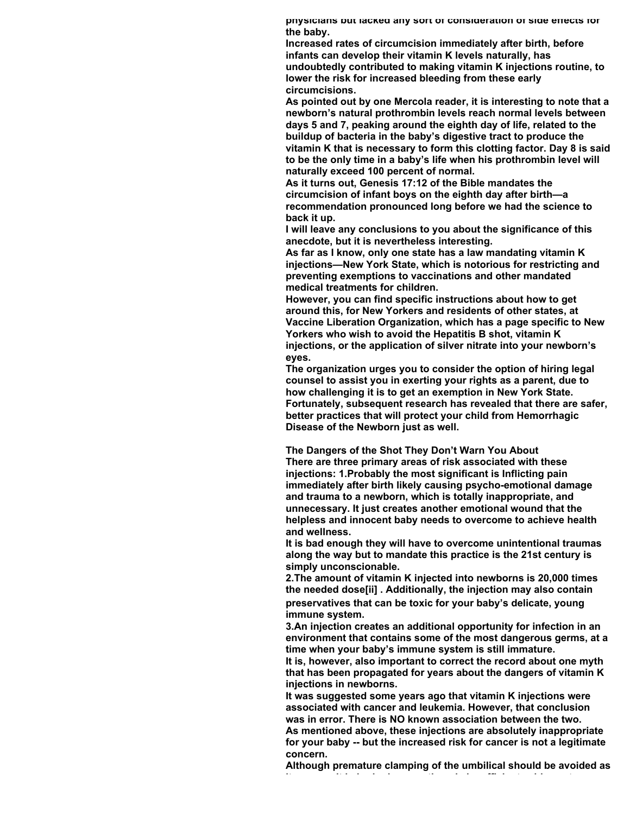**physicians but lacked any sort of consideration of side effects for the baby.**

**Increased rates of circumcision immediately after birth, before infants can develop their vitamin K levels naturally, has undoubtedly contributed to making vitamin K injections routine, to lower the risk for increased bleeding from these early circumcisions.** 

**As pointed out by one Mercola reader, it is interesting to note that a newborn's natural prothrombin levels reach normal levels between days 5 and 7, peaking around the eighth day of life, related to the buildup of bacteria in the baby's digestive tract to produce the vitamin K that is necessary to form this clotting factor. Day 8 is said to be the only time in a baby's life when his prothrombin level will naturally exceed 100 percent of normal.**

**As it turns out, Genesis 17:12 of the Bible mandates the circumcision of infant boys on the eighth day after birth—a recommendation pronounced long before we had the science to back it up.** 

**I will leave any conclusions to you about the significance of this anecdote, but it is nevertheless interesting.**

**As far as I know, only one state has a law mandating vitamin K injections—New York State, which is notorious for restricting and preventing exemptions to vaccinations and other mandated medical treatments for children.** 

**However, you can find specific instructions about how to get around this, for New Yorkers and residents of other states, at Vaccine Liberation Organization, which has a page specific to New Yorkers who wish to avoid the Hepatitis B shot, vitamin K injections, or the application of silver nitrate into your newborn's eyes.** 

**The organization urges you to consider the option of hiring legal counsel to assist you in exerting your rights as a parent, due to how challenging it is to get an exemption in New York State. Fortunately, subsequent research has revealed that there are safer, better practices that will protect your child from Hemorrhagic Disease of the Newborn just as well.**

**The Dangers of the Shot They Don't Warn You About There are three primary areas of risk associated with these injections: 1.Probably the most significant is Inflicting pain immediately after birth likely causing psycho-emotional damage and trauma to a newborn, which is totally inappropriate, and unnecessary. It just creates another emotional wound that the helpless and innocent baby needs to overcome to achieve health and wellness.** 

**It is bad enough they will have to overcome unintentional traumas along the way but to mandate this practice is the 21st century is simply unconscionable.** 

**2.The amount of vitamin K injected into newborns is 20,000 times the needed dose[ii] . Additionally, the injection may also contain preservatives that can be toxic for your baby's delicate, young immune system.** 

**3.An injection creates an additional opportunity for infection in an environment that contains some of the most dangerous germs, at a time when your baby's immune system is still immature.** 

**It is, however, also important to correct the record about one myth that has been propagated for years about the dangers of vitamin K injections in newborns.** 

**It was suggested some years ago that vitamin K injections were associated with cancer and leukemia. However, that conclusion was in error. There is NO known association between the two. As mentioned above, these injections are absolutely inappropriate for your baby -- but the increased risk for cancer is not a legitimate concern.**

**Although premature clamping of the umbilical should be avoided as it can result in brain damage, there is insufficient evidence to say**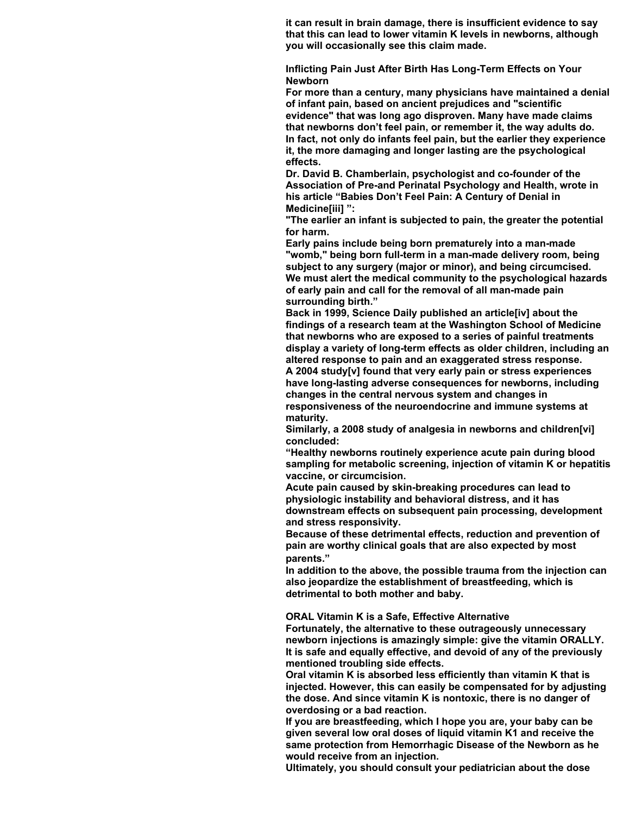**it can result in brain damage, there is insufficient evidence to say that this can lead to lower vitamin K levels in newborns, although you will occasionally see this claim made.**

**Inflicting Pain Just After Birth Has Long-Term Effects on Your Newborn**

**For more than a century, many physicians have maintained a denial of infant pain, based on ancient prejudices and "scientific evidence" that was long ago disproven. Many have made claims that newborns don't feel pain, or remember it, the way adults do. In fact, not only do infants feel pain, but the earlier they experience it, the more damaging and longer lasting are the psychological effects.**

**Dr. David B. Chamberlain, psychologist and co-founder of the Association of Pre-and Perinatal Psychology and Health, wrote in his article "Babies Don't Feel Pain: A Century of Denial in Medicine[iii] ":** 

**"The earlier an infant is subjected to pain, the greater the potential for harm.** 

**Early pains include being born prematurely into a man-made "womb," being born full-term in a man-made delivery room, being subject to any surgery (major or minor), and being circumcised. We must alert the medical community to the psychological hazards of early pain and call for the removal of all man-made pain surrounding birth."** 

**Back in 1999, Science Daily published an article[iv] about the findings of a research team at the Washington School of Medicine that newborns who are exposed to a series of painful treatments display a variety of long-term effects as older children, including an altered response to pain and an exaggerated stress response. A 2004 study[v] found that very early pain or stress experiences have long-lasting adverse consequences for newborns, including**

**changes in the central nervous system and changes in responsiveness of the neuroendocrine and immune systems at maturity.**

**Similarly, a 2008 study of analgesia in newborns and children[vi] concluded:**

**"Healthy newborns routinely experience acute pain during blood sampling for metabolic screening, injection of vitamin K or hepatitis vaccine, or circumcision.** 

**Acute pain caused by skin-breaking procedures can lead to physiologic instability and behavioral distress, and it has downstream effects on subsequent pain processing, development and stress responsivity.** 

**Because of these detrimental effects, reduction and prevention of pain are worthy clinical goals that are also expected by most parents."** 

**In addition to the above, the possible trauma from the injection can also jeopardize the establishment of breastfeeding, which is detrimental to both mother and baby.**

**ORAL Vitamin K is a Safe, Effective Alternative**

**Fortunately, the alternative to these outrageously unnecessary newborn injections is amazingly simple: give the vitamin ORALLY. It is safe and equally effective, and devoid of any of the previously mentioned troubling side effects.** 

**Oral vitamin K is absorbed less efficiently than vitamin K that is injected. However, this can easily be compensated for by adjusting the dose. And since vitamin K is nontoxic, there is no danger of overdosing or a bad reaction.** 

**If you are breastfeeding, which I hope you are, your baby can be given several low oral doses of liquid vitamin K1 and receive the same protection from Hemorrhagic Disease of the Newborn as he would receive from an injection.** 

**Ultimately, you should consult your pediatrician about the dose**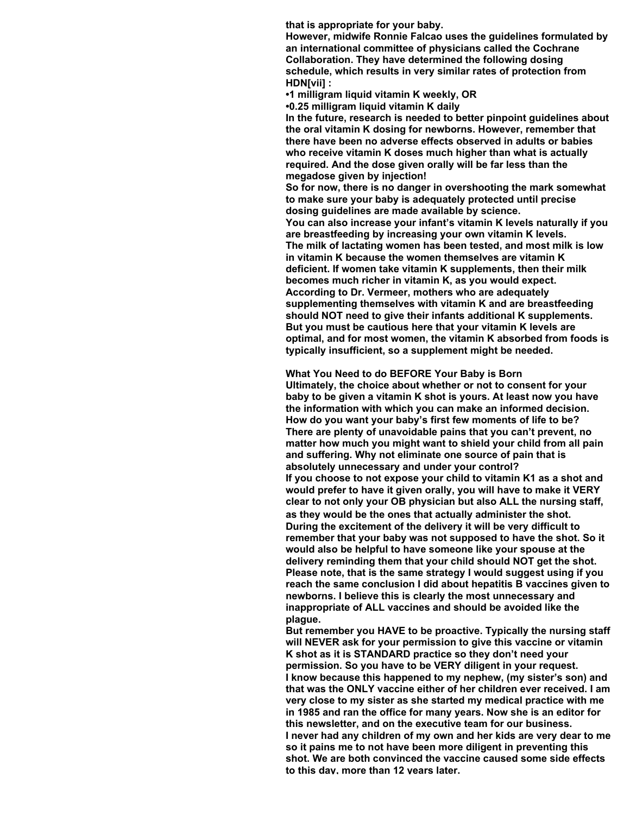**that is appropriate for your baby.** 

**However, midwife Ronnie Falcao uses the guidelines formulated by an international committee of physicians called the Cochrane Collaboration. They have determined the following dosing schedule, which results in very similar rates of protection from HDN[vii] :**

**•1 milligram liquid vitamin K weekly, OR** 

**•0.25 milligram liquid vitamin K daily** 

**In the future, research is needed to better pinpoint guidelines about the oral vitamin K dosing for newborns. However, remember that there have been no adverse effects observed in adults or babies who receive vitamin K doses much higher than what is actually required. And the dose given orally will be far less than the megadose given by injection!** 

**So for now, there is no danger in overshooting the mark somewhat to make sure your baby is adequately protected until precise dosing guidelines are made available by science.**

**You can also increase your infant's vitamin K levels naturally if you are breastfeeding by increasing your own vitamin K levels. The milk of lactating women has been tested, and most milk is low in vitamin K because the women themselves are vitamin K deficient. If women take vitamin K supplements, then their milk becomes much richer in vitamin K, as you would expect. According to Dr. Vermeer, mothers who are adequately supplementing themselves with vitamin K and are breastfeeding should NOT need to give their infants additional K supplements. But you must be cautious here that your vitamin K levels are optimal, and for most women, the vitamin K absorbed from foods is typically insufficient, so a supplement might be needed.**

**What You Need to do BEFORE Your Baby is Born Ultimately, the choice about whether or not to consent for your baby to be given a vitamin K shot is yours. At least now you have the information with which you can make an informed decision. How do you want your baby's first few moments of life to be? There are plenty of unavoidable pains that you can't prevent, no matter how much you might want to shield your child from all pain and suffering. Why not eliminate one source of pain that is absolutely unnecessary and under your control? If you choose to not expose your child to vitamin K1 as a shot and would prefer to have it given orally, you will have to make it VERY clear to not only your OB physician but also ALL the nursing staff, as they would be the ones that actually administer the shot. During the excitement of the delivery it will be very difficult to remember that your baby was not supposed to have the shot. So it would also be helpful to have someone like your spouse at the delivery reminding them that your child should NOT get the shot. Please note, that is the same strategy I would suggest using if you reach the same conclusion I did about hepatitis B vaccines given to newborns. I believe this is clearly the most unnecessary and inappropriate of ALL vaccines and should be avoided like the plague.** 

**But remember you HAVE to be proactive. Typically the nursing staff will NEVER ask for your permission to give this vaccine or vitamin K shot as it is STANDARD practice so they don't need your permission. So you have to be VERY diligent in your request. I know because this happened to my nephew, (my sister's son) and that was the ONLY vaccine either of her children ever received. I am very close to my sister as she started my medical practice with me in 1985 and ran the office for many years. Now she is an editor for this newsletter, and on the executive team for our business. I never had any children of my own and her kids are very dear to me so it pains me to not have been more diligent in preventing this shot. We are both convinced the vaccine caused some side effects to this day, more than 12 years later.**